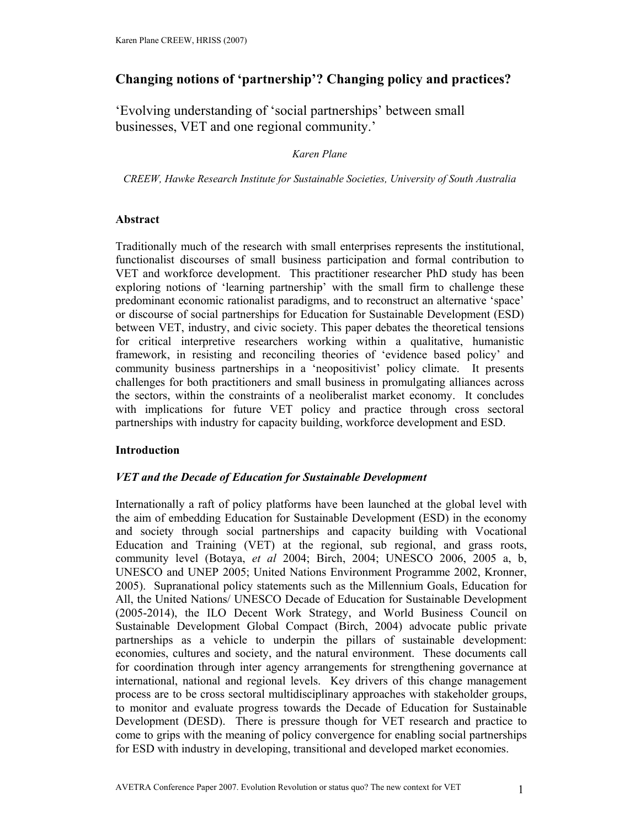# **Changing notions of 'partnership'? Changing policy and practices?**

'Evolving understanding of 'social partnerships' between small businesses, VET and one regional community.'

### *Karen Plane*

*CREEW, Hawke Research Institute for Sustainable Societies, University of South Australia* 

## **Abstract**

Traditionally much of the research with small enterprises represents the institutional, functionalist discourses of small business participation and formal contribution to VET and workforce development. This practitioner researcher PhD study has been exploring notions of 'learning partnership' with the small firm to challenge these predominant economic rationalist paradigms, and to reconstruct an alternative 'space' or discourse of social partnerships for Education for Sustainable Development (ESD) between VET, industry, and civic society. This paper debates the theoretical tensions for critical interpretive researchers working within a qualitative, humanistic framework, in resisting and reconciling theories of 'evidence based policy' and community business partnerships in a 'neopositivist' policy climate. It presents challenges for both practitioners and small business in promulgating alliances across the sectors, within the constraints of a neoliberalist market economy. It concludes with implications for future VET policy and practice through cross sectoral partnerships with industry for capacity building, workforce development and ESD.

## **Introduction**

## *VET and the Decade of Education for Sustainable Development*

Internationally a raft of policy platforms have been launched at the global level with the aim of embedding Education for Sustainable Development (ESD) in the economy and society through social partnerships and capacity building with Vocational Education and Training (VET) at the regional, sub regional, and grass roots, community level (Botaya, *et al* 2004; Birch, 2004; UNESCO 2006, 2005 a, b, UNESCO and UNEP 2005; United Nations Environment Programme 2002, Kronner, 2005). Supranational policy statements such as the Millennium Goals, Education for All, the United Nations/ UNESCO Decade of Education for Sustainable Development (2005-2014), the ILO Decent Work Strategy, and World Business Council on Sustainable Development Global Compact (Birch, 2004) advocate public private partnerships as a vehicle to underpin the pillars of sustainable development: economies, cultures and society, and the natural environment. These documents call for coordination through inter agency arrangements for strengthening governance at international, national and regional levels. Key drivers of this change management process are to be cross sectoral multidisciplinary approaches with stakeholder groups, to monitor and evaluate progress towards the Decade of Education for Sustainable Development (DESD). There is pressure though for VET research and practice to come to grips with the meaning of policy convergence for enabling social partnerships for ESD with industry in developing, transitional and developed market economies.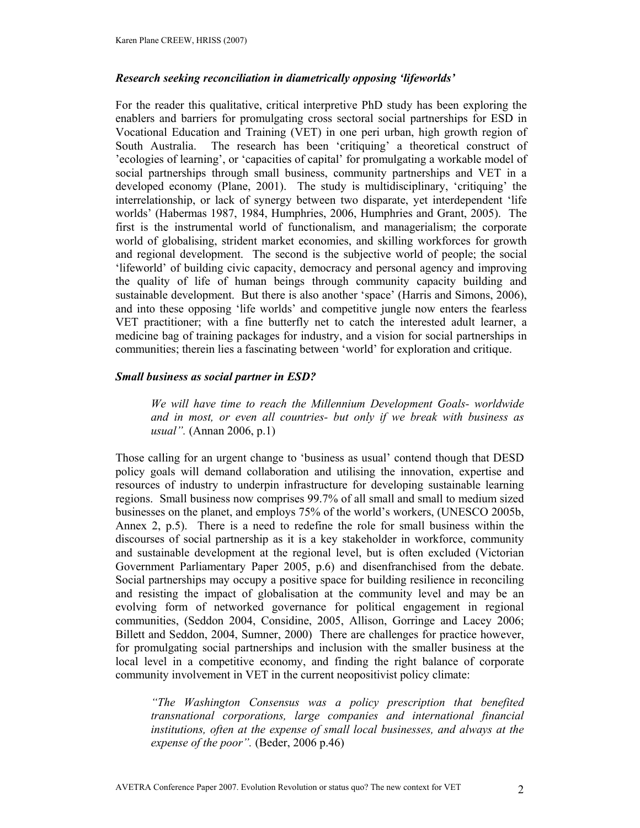### *Research seeking reconciliation in diametrically opposing 'lifeworlds'*

For the reader this qualitative, critical interpretive PhD study has been exploring the enablers and barriers for promulgating cross sectoral social partnerships for ESD in Vocational Education and Training (VET) in one peri urban, high growth region of South Australia. The research has been 'critiquing' a theoretical construct of 'ecologies of learning', or 'capacities of capital' for promulgating a workable model of social partnerships through small business, community partnerships and VET in a developed economy (Plane, 2001). The study is multidisciplinary, 'critiquing' the interrelationship, or lack of synergy between two disparate, yet interdependent 'life worlds' (Habermas 1987, 1984, Humphries, 2006, Humphries and Grant, 2005). The first is the instrumental world of functionalism, and managerialism; the corporate world of globalising, strident market economies, and skilling workforces for growth and regional development. The second is the subjective world of people; the social 'lifeworld' of building civic capacity, democracy and personal agency and improving the quality of life of human beings through community capacity building and sustainable development. But there is also another 'space' (Harris and Simons, 2006), and into these opposing 'life worlds' and competitive jungle now enters the fearless VET practitioner; with a fine butterfly net to catch the interested adult learner, a medicine bag of training packages for industry, and a vision for social partnerships in communities; therein lies a fascinating between 'world' for exploration and critique.

#### *Small business as social partner in ESD?*

*We will have time to reach the Millennium Development Goals- worldwide and in most, or even all countries- but only if we break with business as usual".* (Annan 2006, p.1)

Those calling for an urgent change to 'business as usual' contend though that DESD policy goals will demand collaboration and utilising the innovation, expertise and resources of industry to underpin infrastructure for developing sustainable learning regions. Small business now comprises 99.7% of all small and small to medium sized businesses on the planet, and employs 75% of the world's workers, (UNESCO 2005b, Annex 2, p.5). There is a need to redefine the role for small business within the discourses of social partnership as it is a key stakeholder in workforce, community and sustainable development at the regional level, but is often excluded (Victorian Government Parliamentary Paper 2005, p.6) and disenfranchised from the debate. Social partnerships may occupy a positive space for building resilience in reconciling and resisting the impact of globalisation at the community level and may be an evolving form of networked governance for political engagement in regional communities, (Seddon 2004, Considine, 2005, Allison, Gorringe and Lacey 2006; Billett and Seddon, 2004, Sumner, 2000) There are challenges for practice however, for promulgating social partnerships and inclusion with the smaller business at the local level in a competitive economy, and finding the right balance of corporate community involvement in VET in the current neopositivist policy climate:

*"The Washington Consensus was a policy prescription that benefited transnational corporations, large companies and international financial institutions, often at the expense of small local businesses, and always at the expense of the poor".* (Beder, 2006 p.46)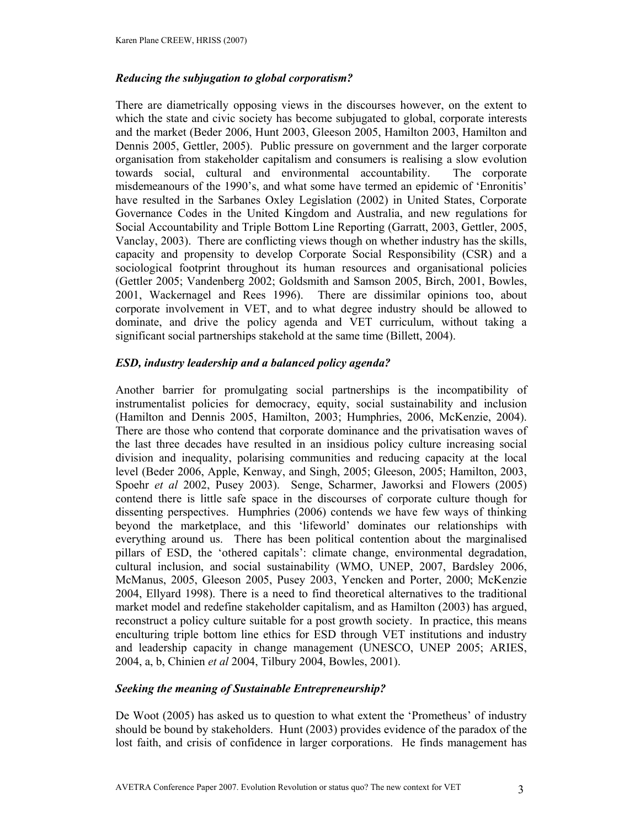### *Reducing the subjugation to global corporatism?*

There are diametrically opposing views in the discourses however, on the extent to which the state and civic society has become subjugated to global, corporate interests and the market (Beder 2006, Hunt 2003, Gleeson 2005, Hamilton 2003, Hamilton and Dennis 2005, Gettler, 2005). Public pressure on government and the larger corporate organisation from stakeholder capitalism and consumers is realising a slow evolution towards social, cultural and environmental accountability. The corporate misdemeanours of the 1990's, and what some have termed an epidemic of 'Enronitis' have resulted in the Sarbanes Oxley Legislation (2002) in United States, Corporate Governance Codes in the United Kingdom and Australia, and new regulations for Social Accountability and Triple Bottom Line Reporting (Garratt, 2003, Gettler, 2005, Vanclay, 2003). There are conflicting views though on whether industry has the skills, capacity and propensity to develop Corporate Social Responsibility (CSR) and a sociological footprint throughout its human resources and organisational policies (Gettler 2005; Vandenberg 2002; Goldsmith and Samson 2005, Birch, 2001, Bowles, 2001, Wackernagel and Rees 1996). There are dissimilar opinions too, about corporate involvement in VET, and to what degree industry should be allowed to dominate, and drive the policy agenda and VET curriculum, without taking a significant social partnerships stakehold at the same time (Billett, 2004).

## *ESD, industry leadership and a balanced policy agenda?*

Another barrier for promulgating social partnerships is the incompatibility of instrumentalist policies for democracy, equity, social sustainability and inclusion (Hamilton and Dennis 2005, Hamilton, 2003; Humphries, 2006, McKenzie, 2004). There are those who contend that corporate dominance and the privatisation waves of the last three decades have resulted in an insidious policy culture increasing social division and inequality, polarising communities and reducing capacity at the local level (Beder 2006, Apple, Kenway, and Singh, 2005; Gleeson, 2005; Hamilton, 2003, Spoehr *et al* 2002, Pusey 2003). Senge, Scharmer, Jaworksi and Flowers (2005) contend there is little safe space in the discourses of corporate culture though for dissenting perspectives. Humphries (2006) contends we have few ways of thinking beyond the marketplace, and this 'lifeworld' dominates our relationships with everything around us. There has been political contention about the marginalised pillars of ESD, the 'othered capitals': climate change, environmental degradation, cultural inclusion, and social sustainability (WMO, UNEP, 2007, Bardsley 2006, McManus, 2005, Gleeson 2005, Pusey 2003, Yencken and Porter, 2000; McKenzie 2004, Ellyard 1998). There is a need to find theoretical alternatives to the traditional market model and redefine stakeholder capitalism, and as Hamilton (2003) has argued, reconstruct a policy culture suitable for a post growth society. In practice, this means enculturing triple bottom line ethics for ESD through VET institutions and industry and leadership capacity in change management (UNESCO, UNEP 2005; ARIES, 2004, a, b, Chinien *et al* 2004, Tilbury 2004, Bowles, 2001).

### *Seeking the meaning of Sustainable Entrepreneurship?*

De Woot (2005) has asked us to question to what extent the 'Prometheus' of industry should be bound by stakeholders. Hunt (2003) provides evidence of the paradox of the lost faith, and crisis of confidence in larger corporations. He finds management has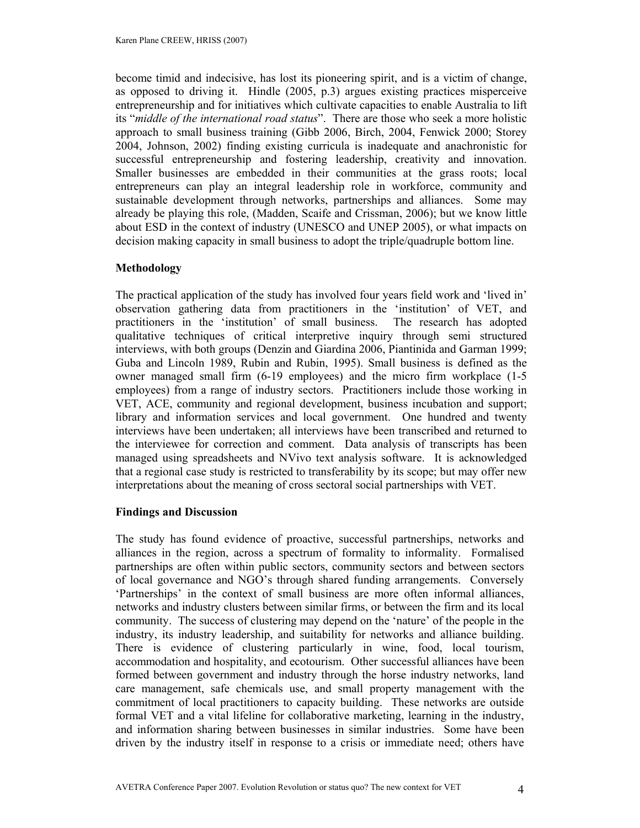become timid and indecisive, has lost its pioneering spirit, and is a victim of change, as opposed to driving it. Hindle (2005, p.3) argues existing practices misperceive entrepreneurship and for initiatives which cultivate capacities to enable Australia to lift its "*middle of the international road status*". There are those who seek a more holistic approach to small business training (Gibb 2006, Birch, 2004, Fenwick 2000; Storey 2004, Johnson, 2002) finding existing curricula is inadequate and anachronistic for successful entrepreneurship and fostering leadership, creativity and innovation. Smaller businesses are embedded in their communities at the grass roots; local entrepreneurs can play an integral leadership role in workforce, community and sustainable development through networks, partnerships and alliances. Some may already be playing this role, (Madden, Scaife and Crissman, 2006); but we know little about ESD in the context of industry (UNESCO and UNEP 2005), or what impacts on decision making capacity in small business to adopt the triple/quadruple bottom line.

#### **Methodology**

The practical application of the study has involved four years field work and 'lived in' observation gathering data from practitioners in the 'institution' of VET, and practitioners in the 'institution' of small business. The research has adopted qualitative techniques of critical interpretive inquiry through semi structured interviews, with both groups (Denzin and Giardina 2006, Piantinida and Garman 1999; Guba and Lincoln 1989, Rubin and Rubin, 1995). Small business is defined as the owner managed small firm (6-19 employees) and the micro firm workplace (1-5 employees) from a range of industry sectors. Practitioners include those working in VET, ACE, community and regional development, business incubation and support; library and information services and local government. One hundred and twenty interviews have been undertaken; all interviews have been transcribed and returned to the interviewee for correction and comment. Data analysis of transcripts has been managed using spreadsheets and NVivo text analysis software. It is acknowledged that a regional case study is restricted to transferability by its scope; but may offer new interpretations about the meaning of cross sectoral social partnerships with VET.

#### **Findings and Discussion**

The study has found evidence of proactive, successful partnerships, networks and alliances in the region, across a spectrum of formality to informality. Formalised partnerships are often within public sectors, community sectors and between sectors of local governance and NGO's through shared funding arrangements. Conversely 'Partnerships' in the context of small business are more often informal alliances, networks and industry clusters between similar firms, or between the firm and its local community. The success of clustering may depend on the 'nature' of the people in the industry, its industry leadership, and suitability for networks and alliance building. There is evidence of clustering particularly in wine, food, local tourism, accommodation and hospitality, and ecotourism. Other successful alliances have been formed between government and industry through the horse industry networks, land care management, safe chemicals use, and small property management with the commitment of local practitioners to capacity building. These networks are outside formal VET and a vital lifeline for collaborative marketing, learning in the industry, and information sharing between businesses in similar industries. Some have been driven by the industry itself in response to a crisis or immediate need; others have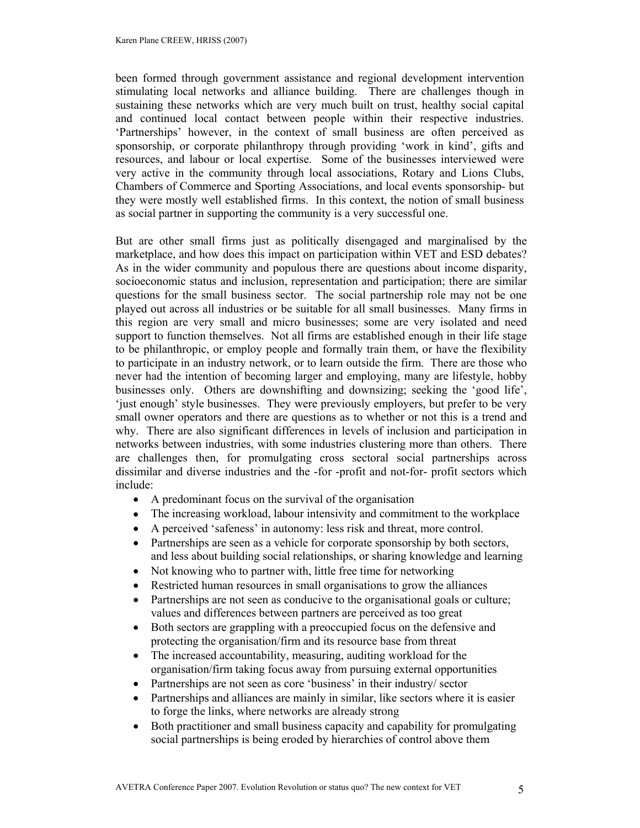been formed through government assistance and regional development intervention stimulating local networks and alliance building. There are challenges though in sustaining these networks which are very much built on trust, healthy social capital and continued local contact between people within their respective industries. 'Partnerships' however, in the context of small business are often perceived as sponsorship, or corporate philanthropy through providing 'work in kind', gifts and resources, and labour or local expertise. Some of the businesses interviewed were very active in the community through local associations, Rotary and Lions Clubs, Chambers of Commerce and Sporting Associations, and local events sponsorship- but they were mostly well established firms. In this context, the notion of small business as social partner in supporting the community is a very successful one.

But are other small firms just as politically disengaged and marginalised by the marketplace, and how does this impact on participation within VET and ESD debates? As in the wider community and populous there are questions about income disparity, socioeconomic status and inclusion, representation and participation; there are similar questions for the small business sector. The social partnership role may not be one played out across all industries or be suitable for all small businesses. Many firms in this region are very small and micro businesses; some are very isolated and need support to function themselves. Not all firms are established enough in their life stage to be philanthropic, or employ people and formally train them, or have the flexibility to participate in an industry network, or to learn outside the firm. There are those who never had the intention of becoming larger and employing, many are lifestyle, hobby businesses only. Others are downshifting and downsizing; seeking the 'good life', 'just enough' style businesses. They were previously employers, but prefer to be very small owner operators and there are questions as to whether or not this is a trend and why. There are also significant differences in levels of inclusion and participation in networks between industries, with some industries clustering more than others. There are challenges then, for promulgating cross sectoral social partnerships across dissimilar and diverse industries and the -for -profit and not-for- profit sectors which include:

- A predominant focus on the survival of the organisation
- The increasing workload, labour intensivity and commitment to the workplace
- A perceived 'safeness' in autonomy: less risk and threat, more control.
- Partnerships are seen as a vehicle for corporate sponsorship by both sectors, and less about building social relationships, or sharing knowledge and learning
- Not knowing who to partner with, little free time for networking
- Restricted human resources in small organisations to grow the alliances
- Partnerships are not seen as conducive to the organisational goals or culture; values and differences between partners are perceived as too great
- Both sectors are grappling with a preoccupied focus on the defensive and protecting the organisation/firm and its resource base from threat
- The increased accountability, measuring, auditing workload for the organisation/firm taking focus away from pursuing external opportunities
- Partnerships are not seen as core 'business' in their industry/ sector
- Partnerships and alliances are mainly in similar, like sectors where it is easier to forge the links, where networks are already strong
- Both practitioner and small business capacity and capability for promulgating social partnerships is being eroded by hierarchies of control above them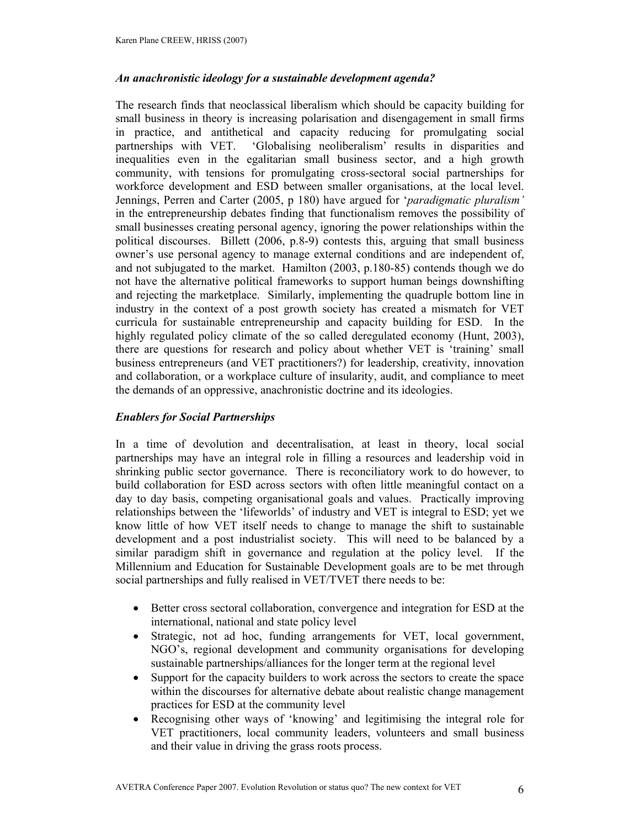### *An anachronistic ideology for a sustainable development agenda?*

The research finds that neoclassical liberalism which should be capacity building for small business in theory is increasing polarisation and disengagement in small firms in practice, and antithetical and capacity reducing for promulgating social partnerships with VET. 'Globalising neoliberalism' results in disparities and inequalities even in the egalitarian small business sector, and a high growth community, with tensions for promulgating cross-sectoral social partnerships for workforce development and ESD between smaller organisations, at the local level. Jennings, Perren and Carter (2005, p 180) have argued for '*paradigmatic pluralism'* in the entrepreneurship debates finding that functionalism removes the possibility of small businesses creating personal agency, ignoring the power relationships within the political discourses. Billett (2006, p.8-9) contests this, arguing that small business owner's use personal agency to manage external conditions and are independent of, and not subjugated to the market. Hamilton (2003, p.180-85) contends though we do not have the alternative political frameworks to support human beings downshifting and rejecting the marketplace. Similarly, implementing the quadruple bottom line in industry in the context of a post growth society has created a mismatch for VET curricula for sustainable entrepreneurship and capacity building for ESD. In the highly regulated policy climate of the so called deregulated economy (Hunt, 2003), there are questions for research and policy about whether VET is 'training' small business entrepreneurs (and VET practitioners?) for leadership, creativity, innovation and collaboration, or a workplace culture of insularity, audit, and compliance to meet the demands of an oppressive, anachronistic doctrine and its ideologies.

### *Enablers for Social Partnerships*

In a time of devolution and decentralisation, at least in theory, local social partnerships may have an integral role in filling a resources and leadership void in shrinking public sector governance. There is reconciliatory work to do however, to build collaboration for ESD across sectors with often little meaningful contact on a day to day basis, competing organisational goals and values. Practically improving relationships between the 'lifeworlds' of industry and VET is integral to ESD; yet we know little of how VET itself needs to change to manage the shift to sustainable development and a post industrialist society. This will need to be balanced by a similar paradigm shift in governance and regulation at the policy level. If the Millennium and Education for Sustainable Development goals are to be met through social partnerships and fully realised in VET/TVET there needs to be:

- Better cross sectoral collaboration, convergence and integration for ESD at the international, national and state policy level
- Strategic, not ad hoc, funding arrangements for VET, local government, NGO's, regional development and community organisations for developing sustainable partnerships/alliances for the longer term at the regional level
- Support for the capacity builders to work across the sectors to create the space within the discourses for alternative debate about realistic change management practices for ESD at the community level
- Recognising other ways of 'knowing' and legitimising the integral role for VET practitioners, local community leaders, volunteers and small business and their value in driving the grass roots process.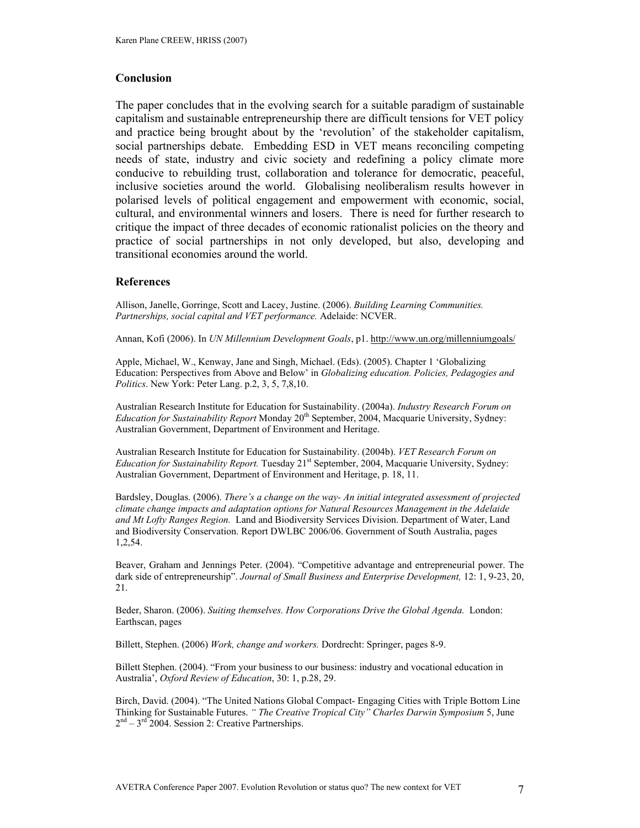#### **Conclusion**

The paper concludes that in the evolving search for a suitable paradigm of sustainable capitalism and sustainable entrepreneurship there are difficult tensions for VET policy and practice being brought about by the 'revolution' of the stakeholder capitalism, social partnerships debate. Embedding ESD in VET means reconciling competing needs of state, industry and civic society and redefining a policy climate more conducive to rebuilding trust, collaboration and tolerance for democratic, peaceful, inclusive societies around the world. Globalising neoliberalism results however in polarised levels of political engagement and empowerment with economic, social, cultural, and environmental winners and losers. There is need for further research to critique the impact of three decades of economic rationalist policies on the theory and practice of social partnerships in not only developed, but also, developing and transitional economies around the world.

#### **References**

Allison, Janelle, Gorringe, Scott and Lacey, Justine. (2006). *Building Learning Communities. Partnerships, social capital and VET performance.* Adelaide: NCVER.

Annan, Kofi (2006). In *UN Millennium Development Goals*, p1. http://www.un.org/millenniumgoals/

Apple, Michael, W., Kenway, Jane and Singh, Michael. (Eds). (2005). Chapter 1 'Globalizing Education: Perspectives from Above and Below' in *Globalizing education. Policies, Pedagogies and Politics*. New York: Peter Lang. p.2, 3, 5, 7,8,10.

Australian Research Institute for Education for Sustainability. (2004a). *Industry Research Forum on Education for Sustainability Report* Monday 20<sup>th</sup> September, 2004, Macquarie University, Sydney: Australian Government, Department of Environment and Heritage.

Australian Research Institute for Education for Sustainability. (2004b). *VET Research Forum on Education for Sustainability Report.* Tuesday 21<sup>st</sup> September, 2004, Macquarie University, Sydney: Australian Government, Department of Environment and Heritage, p. 18, 11.

Bardsley, Douglas. (2006). *There's a change on the way- An initial integrated assessment of projected climate change impacts and adaptation options for Natural Resources Management in the Adelaide and Mt Lofty Ranges Region.* Land and Biodiversity Services Division. Department of Water, Land and Biodiversity Conservation. Report DWLBC 2006/06. Government of South Australia, pages 1,2,54.

Beaver, Graham and Jennings Peter. (2004). "Competitive advantage and entrepreneurial power. The dark side of entrepreneurship". *Journal of Small Business and Enterprise Development,* 12: 1, 9-23, 20, 21.

Beder, Sharon. (2006). *Suiting themselves. How Corporations Drive the Global Agenda.* London: Earthscan, pages

Billett, Stephen. (2006) *Work, change and workers.* Dordrecht: Springer, pages 8-9.

Billett Stephen. (2004). "From your business to our business: industry and vocational education in Australia', *Oxford Review of Education*, 30: 1, p.28, 29.

Birch, David. (2004). "The United Nations Global Compact- Engaging Cities with Triple Bottom Line Thinking for Sustainable Futures. *" The Creative Tropical City" Charles Darwin Symposium* 5, June  $2<sup>nd</sup> - 3<sup>rd</sup>$  2004. Session 2: Creative Partnerships.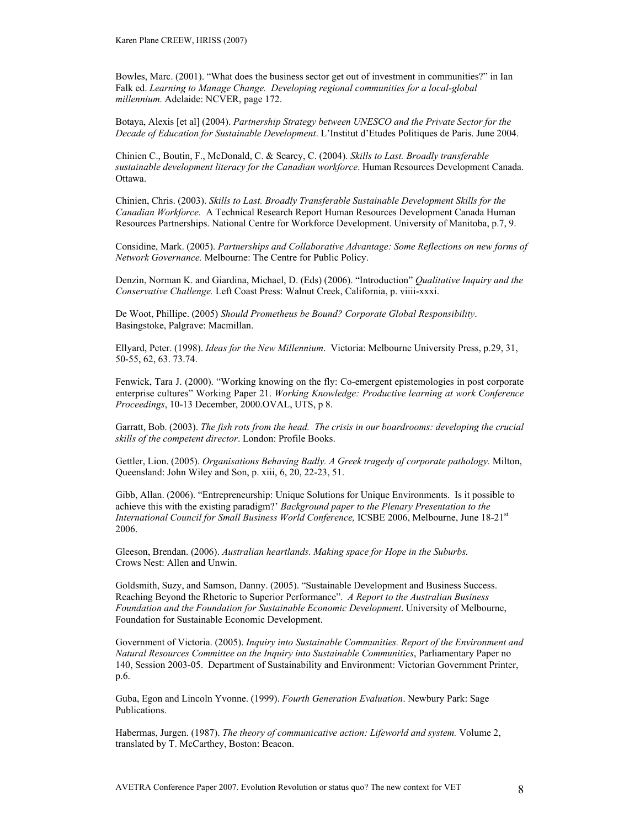Bowles, Marc. (2001). "What does the business sector get out of investment in communities?" in Ian Falk ed. *Learning to Manage Change. Developing regional communities for a local-global millennium.* Adelaide: NCVER, page 172.

Botaya, Alexis [et al] (2004). *Partnership Strategy between UNESCO and the Private Sector for the Decade of Education for Sustainable Development*. L'Institut d'Etudes Politiques de Paris. June 2004.

Chinien C., Boutin, F., McDonald, C. & Searcy, C. (2004). *Skills to Last. Broadly transferable sustainable development literacy for the Canadian workforce*. Human Resources Development Canada. Ottawa.

Chinien, Chris. (2003). *Skills to Last. Broadly Transferable Sustainable Development Skills for the Canadian Workforce.* A Technical Research Report Human Resources Development Canada Human Resources Partnerships. National Centre for Workforce Development. University of Manitoba, p.7, 9.

Considine, Mark. (2005). *Partnerships and Collaborative Advantage: Some Reflections on new forms of Network Governance.* Melbourne: The Centre for Public Policy.

Denzin, Norman K. and Giardina, Michael, D. (Eds) (2006). "Introduction" *Qualitative Inquiry and the Conservative Challenge.* Left Coast Press: Walnut Creek, California, p. viiii-xxxi.

De Woot, Phillipe. (2005) *Should Prometheus be Bound? Corporate Global Responsibility*. Basingstoke, Palgrave: Macmillan.

Ellyard, Peter. (1998). *Ideas for the New Millennium*. Victoria: Melbourne University Press, p.29, 31, 50-55, 62, 63. 73.74.

Fenwick, Tara J. (2000). "Working knowing on the fly: Co-emergent epistemologies in post corporate enterprise cultures" Working Paper 21. *Working Knowledge: Productive learning at work Conference Proceedings*, 10-13 December, 2000.OVAL, UTS, p 8.

Garratt, Bob. (2003). *The fish rots from the head. The crisis in our boardrooms: developing the crucial skills of the competent director*. London: Profile Books.

Gettler, Lion. (2005). *Organisations Behaving Badly. A Greek tragedy of corporate pathology.* Milton, Queensland: John Wiley and Son, p. xiii, 6, 20, 22-23, 51.

Gibb, Allan. (2006). "Entrepreneurship: Unique Solutions for Unique Environments. Is it possible to achieve this with the existing paradigm?' *Background paper to the Plenary Presentation to the International Council for Small Business World Conference, ICSBE 2006, Melbourne, June 18-21<sup>st</sup>* 2006.

Gleeson, Brendan. (2006). *Australian heartlands. Making space for Hope in the Suburbs.*  Crows Nest: Allen and Unwin.

Goldsmith, Suzy, and Samson, Danny. (2005). "Sustainable Development and Business Success. Reaching Beyond the Rhetoric to Superior Performance". *A Report to the Australian Business Foundation and the Foundation for Sustainable Economic Development*. University of Melbourne, Foundation for Sustainable Economic Development.

Government of Victoria. (2005). *Inquiry into Sustainable Communities. Report of the Environment and Natural Resources Committee on the Inquiry into Sustainable Communities*, Parliamentary Paper no 140, Session 2003-05. Department of Sustainability and Environment: Victorian Government Printer, p.6.

Guba, Egon and Lincoln Yvonne. (1999). *Fourth Generation Evaluation*. Newbury Park: Sage Publications.

Habermas, Jurgen. (1987). *The theory of communicative action: Lifeworld and system.* Volume 2, translated by T. McCarthey, Boston: Beacon.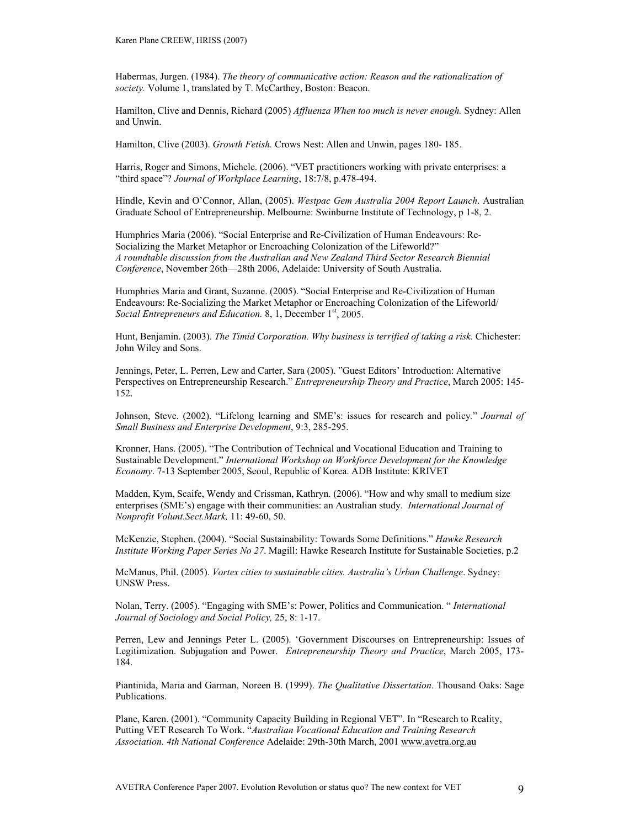Habermas, Jurgen. (1984). *The theory of communicative action: Reason and the rationalization of society.* Volume 1, translated by T. McCarthey, Boston: Beacon.

Hamilton, Clive and Dennis, Richard (2005) *Affluenza When too much is never enough.* Sydney: Allen and Unwin.

Hamilton, Clive (2003). *Growth Fetish.* Crows Nest: Allen and Unwin, pages 180- 185.

Harris, Roger and Simons, Michele. (2006). "VET practitioners working with private enterprises: a "third space"? *Journal of Workplace Learning*, 18:7/8, p.478-494.

Hindle, Kevin and O'Connor, Allan, (2005). *Westpac Gem Australia 2004 Report Launch*. Australian Graduate School of Entrepreneurship. Melbourne: Swinburne Institute of Technology, p 1-8, 2.

Humphries Maria (2006). "Social Enterprise and Re-Civilization of Human Endeavours: Re-Socializing the Market Metaphor or Encroaching Colonization of the Lifeworld?" *A roundtable discussion from the Australian and New Zealand Third Sector Research Biennial Conference*, November 26th—28th 2006, Adelaide: University of South Australia.

Humphries Maria and Grant, Suzanne. (2005). "Social Enterprise and Re-Civilization of Human Endeavours: Re-Socializing the Market Metaphor or Encroaching Colonization of the Lifeworld/ *Social Entrepreneurs and Education.* 8, 1, December 1<sup>st</sup>, 2005.

Hunt, Benjamin. (2003). *The Timid Corporation. Why business is terrified of taking a risk.* Chichester: John Wiley and Sons.

Jennings, Peter, L. Perren, Lew and Carter, Sara (2005). "Guest Editors' Introduction: Alternative Perspectives on Entrepreneurship Research." *Entrepreneurship Theory and Practice*, March 2005: 145- 152.

Johnson, Steve. (2002). "Lifelong learning and SME's: issues for research and policy*.*" *Journal of Small Business and Enterprise Development*, 9:3, 285-295.

Kronner, Hans. (2005). "The Contribution of Technical and Vocational Education and Training to Sustainable Development." *International Workshop on Workforce Development for the Knowledge Economy*. 7-13 September 2005, Seoul, Republic of Korea. ADB Institute: KRIVET

Madden, Kym, Scaife, Wendy and Crissman, Kathryn. (2006). "How and why small to medium size enterprises (SME's) engage with their communities: an Australian study*. International Journal of Nonprofit Volunt.Sect.Mark,* 11: 49-60, 50.

McKenzie, Stephen. (2004). "Social Sustainability: Towards Some Definitions." *Hawke Research Institute Working Paper Series No 27*. Magill: Hawke Research Institute for Sustainable Societies, p.2

McManus, Phil. (2005). *Vortex cities to sustainable cities. Australia's Urban Challenge*. Sydney: UNSW Press.

Nolan, Terry. (2005). "Engaging with SME's: Power, Politics and Communication. " *International Journal of Sociology and Social Policy,* 25, 8: 1-17.

Perren, Lew and Jennings Peter L. (2005). 'Government Discourses on Entrepreneurship: Issues of Legitimization. Subjugation and Power. *Entrepreneurship Theory and Practice*, March 2005, 173- 184.

Piantinida, Maria and Garman, Noreen B. (1999). *The Qualitative Dissertation*. Thousand Oaks: Sage Publications.

Plane, Karen. (2001). "Community Capacity Building in Regional VET". In "Research to Reality, Putting VET Research To Work. "*Australian Vocational Education and Training Research Association. 4th National Conference* Adelaide: 29th-30th March, 2001 www.avetra.org.au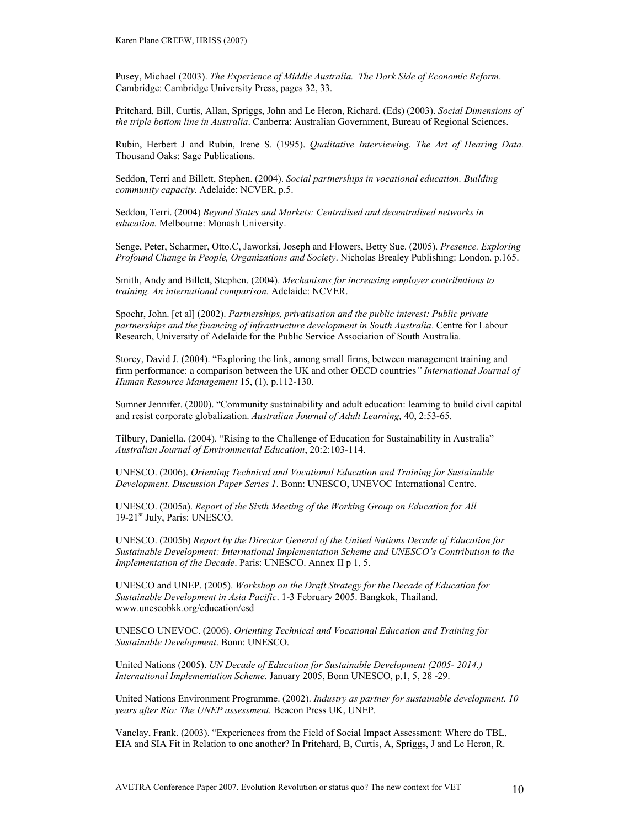Pusey, Michael (2003). *The Experience of Middle Australia. The Dark Side of Economic Reform*. Cambridge: Cambridge University Press, pages 32, 33.

Pritchard, Bill, Curtis, Allan, Spriggs, John and Le Heron, Richard. (Eds) (2003). *Social Dimensions of the triple bottom line in Australia*. Canberra: Australian Government, Bureau of Regional Sciences.

Rubin, Herbert J and Rubin, Irene S. (1995). *Qualitative Interviewing. The Art of Hearing Data.* Thousand Oaks: Sage Publications.

Seddon, Terri and Billett, Stephen. (2004). *Social partnerships in vocational education. Building community capacity.* Adelaide: NCVER, p.5.

Seddon, Terri. (2004) *Beyond States and Markets: Centralised and decentralised networks in education.* Melbourne: Monash University.

Senge, Peter, Scharmer, Otto.C, Jaworksi, Joseph and Flowers, Betty Sue. (2005). *Presence. Exploring Profound Change in People, Organizations and Society*. Nicholas Brealey Publishing: London. p.165.

Smith, Andy and Billett, Stephen. (2004). *Mechanisms for increasing employer contributions to training. An international comparison.* Adelaide: NCVER.

Spoehr, John. [et al] (2002). *Partnerships, privatisation and the public interest: Public private partnerships and the financing of infrastructure development in South Australia*. Centre for Labour Research, University of Adelaide for the Public Service Association of South Australia.

Storey, David J. (2004). "Exploring the link, among small firms, between management training and firm performance: a comparison between the UK and other OECD countries*" International Journal of Human Resource Management* 15, (1), p.112-130.

Sumner Jennifer. (2000). "Community sustainability and adult education: learning to build civil capital and resist corporate globalization. *Australian Journal of Adult Learning,* 40, 2:53-65.

Tilbury, Daniella. (2004). "Rising to the Challenge of Education for Sustainability in Australia" *Australian Journal of Environmental Education*, 20:2:103-114.

UNESCO. (2006). *Orienting Technical and Vocational Education and Training for Sustainable Development. Discussion Paper Series 1*. Bonn: UNESCO, UNEVOC International Centre.

UNESCO. (2005a). *Report of the Sixth Meeting of the Working Group on Education for All* 19-21<sup>st</sup> July, Paris: UNESCO.

UNESCO. (2005b) *Report by the Director General of the United Nations Decade of Education for Sustainable Development: International Implementation Scheme and UNESCO's Contribution to the Implementation of the Decade*. Paris: UNESCO. Annex II p 1, 5.

UNESCO and UNEP. (2005). *Workshop on the Draft Strategy for the Decade of Education for Sustainable Development in Asia Pacific*. 1-3 February 2005. Bangkok, Thailand. www.unescobkk.org/education/esd

UNESCO UNEVOC. (2006). *Orienting Technical and Vocational Education and Training for Sustainable Development*. Bonn: UNESCO.

United Nations (2005). *UN Decade of Education for Sustainable Development (2005- 2014.) International Implementation Scheme.* January 2005, Bonn UNESCO, p.1, 5, 28 -29.

United Nations Environment Programme. (2002). *Industry as partner for sustainable development. 10 years after Rio: The UNEP assessment.* Beacon Press UK, UNEP.

Vanclay, Frank. (2003). "Experiences from the Field of Social Impact Assessment: Where do TBL, EIA and SIA Fit in Relation to one another? In Pritchard, B, Curtis, A, Spriggs, J and Le Heron, R.